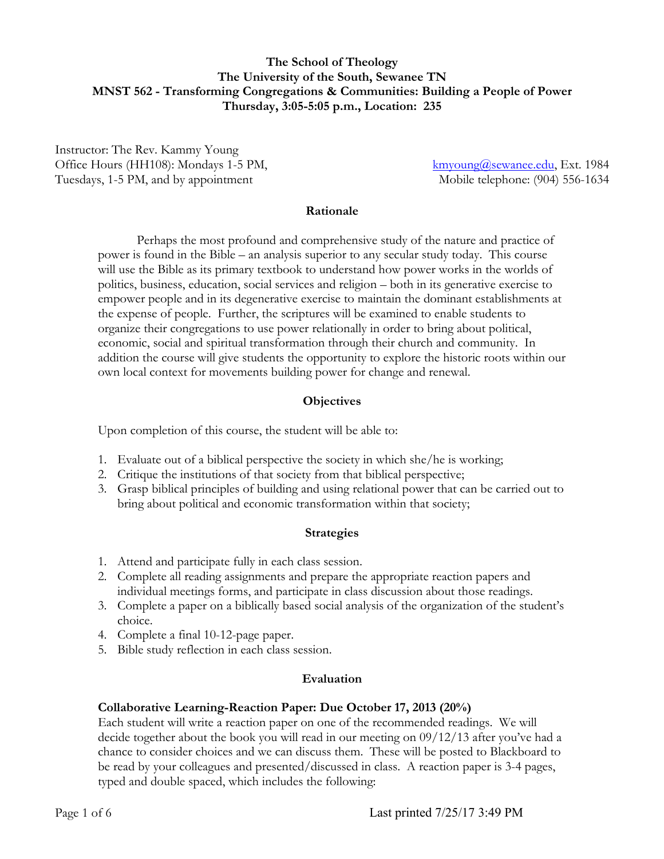### **The School of Theology The University of the South, Sewanee TN MNST 562 - Transforming Congregations & Communities: Building a People of Power Thursday, 3:05-5:05 p.m., Location: 235**

Instructor: The Rev. Kammy Young Office Hours (HH108): Mondays 1-5 PM, Tuesdays, 1-5 PM, and by appointment

kmyoung@sewanee.edu, Ext. 1984 Mobile telephone: (904) 556-1634

#### **Rationale**

Perhaps the most profound and comprehensive study of the nature and practice of power is found in the Bible – an analysis superior to any secular study today. This course will use the Bible as its primary textbook to understand how power works in the worlds of politics, business, education, social services and religion – both in its generative exercise to empower people and in its degenerative exercise to maintain the dominant establishments at the expense of people. Further, the scriptures will be examined to enable students to organize their congregations to use power relationally in order to bring about political, economic, social and spiritual transformation through their church and community. In addition the course will give students the opportunity to explore the historic roots within our own local context for movements building power for change and renewal.

#### **Objectives**

Upon completion of this course, the student will be able to:

- 1. Evaluate out of a biblical perspective the society in which she/he is working;
- 2. Critique the institutions of that society from that biblical perspective;
- 3. Grasp biblical principles of building and using relational power that can be carried out to bring about political and economic transformation within that society;

#### **Strategies**

- 1. Attend and participate fully in each class session.
- 2. Complete all reading assignments and prepare the appropriate reaction papers and individual meetings forms, and participate in class discussion about those readings.
- 3. Complete a paper on a biblically based social analysis of the organization of the student's choice.
- 4. Complete a final 10-12-page paper.
- 5. Bible study reflection in each class session.

#### **Evaluation**

#### **Collaborative Learning-Reaction Paper: Due October 17, 2013 (20%)**

Each student will write a reaction paper on one of the recommended readings. We will decide together about the book you will read in our meeting on 09/12/13 after you've had a chance to consider choices and we can discuss them. These will be posted to Blackboard to be read by your colleagues and presented/discussed in class. A reaction paper is 3-4 pages, typed and double spaced, which includes the following: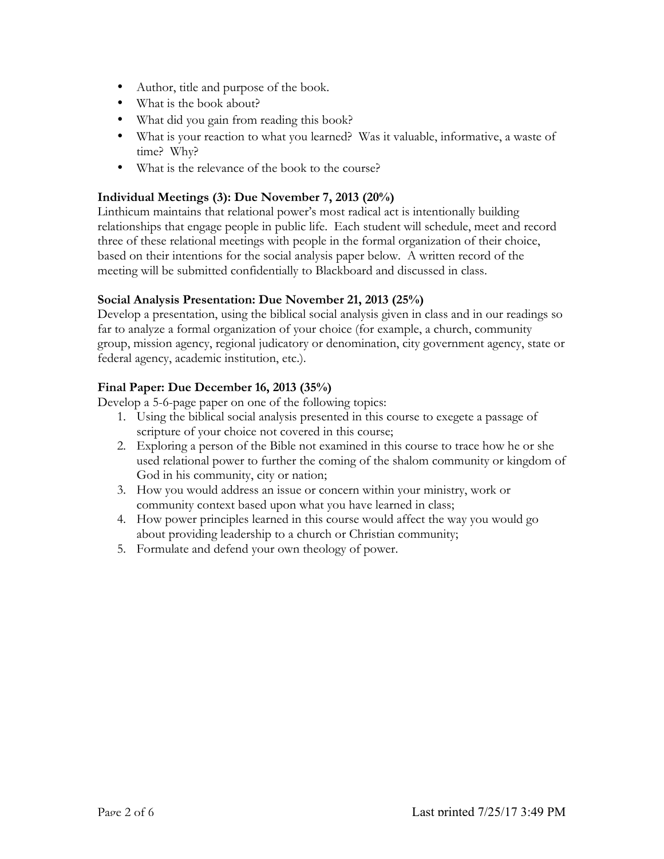- Author, title and purpose of the book.
- What is the book about?
- What did you gain from reading this book?
- What is your reaction to what you learned? Was it valuable, informative, a waste of time? Why?
- What is the relevance of the book to the course?

# **Individual Meetings (3): Due November 7, 2013 (20%)**

Linthicum maintains that relational power's most radical act is intentionally building relationships that engage people in public life. Each student will schedule, meet and record three of these relational meetings with people in the formal organization of their choice, based on their intentions for the social analysis paper below. A written record of the meeting will be submitted confidentially to Blackboard and discussed in class.

# **Social Analysis Presentation: Due November 21, 2013 (25%)**

Develop a presentation, using the biblical social analysis given in class and in our readings so far to analyze a formal organization of your choice (for example, a church, community group, mission agency, regional judicatory or denomination, city government agency, state or federal agency, academic institution, etc.).

# **Final Paper: Due December 16, 2013 (35%)**

Develop a 5-6-page paper on one of the following topics:

- 1. Using the biblical social analysis presented in this course to exegete a passage of scripture of your choice not covered in this course;
- 2. Exploring a person of the Bible not examined in this course to trace how he or she used relational power to further the coming of the shalom community or kingdom of God in his community, city or nation;
- 3. How you would address an issue or concern within your ministry, work or community context based upon what you have learned in class;
- 4. How power principles learned in this course would affect the way you would go about providing leadership to a church or Christian community;
- 5. Formulate and defend your own theology of power.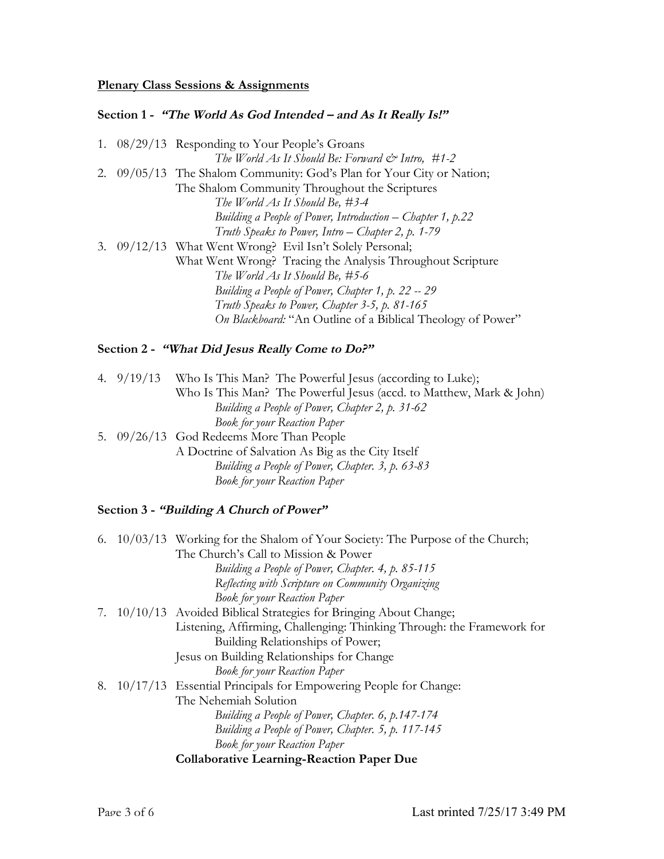# **Plenary Class Sessions & Assignments**

# **Section 1 - "The World As God Intended – and As It Really Is!"**

|  | 1. 08/29/13 Responding to Your People's Groans                        |
|--|-----------------------------------------------------------------------|
|  | The World As It Should Be: Forward $\mathcal{Q}^*$ Intro, #1-2        |
|  | 2. 09/05/13 The Shalom Community: God's Plan for Your City or Nation; |
|  | The Shalom Community Throughout the Scriptures                        |
|  | The World As It Should Be, #3-4                                       |
|  | Building a People of Power, Introduction – Chapter 1, p.22            |
|  | Truth Speaks to Power, Intro - Chapter 2, p. 1-79                     |
|  | 3. 09/12/13 What Went Wrong? Evil Isn't Solely Personal;              |
|  | What Went Wrong? Tracing the Analysis Throughout Scripture            |
|  | The World As It Should Be, #5-6                                       |
|  | Building a People of Power, Chapter 1, p. 22 -- 29                    |
|  | Truth Speaks to Power, Chapter 3-5, p. 81-165                         |
|  | On Blackboard: "An Outline of a Biblical Theology of Power"           |
|  |                                                                       |

# **Section 2 - "What Did Jesus Really Come to Do?"**

|  | 4. 9/19/13 Who Is This Man? The Powerful Jesus (according to Luke); |
|--|---------------------------------------------------------------------|
|  | Who Is This Man? The Powerful Jesus (accd. to Matthew, Mark & John) |
|  | Building a People of Power, Chapter 2, p. 31-62                     |
|  | <b>Book for your Reaction Paper</b>                                 |
|  | 5. 09/26/13 God Redeems More Than People                            |
|  | A Doctrine of Salvation As Big as the City Itself                   |
|  | Building a People of Power, Chapter. 3, p. 63-83                    |
|  | <b>Book for your Reaction Paper</b>                                 |

# **Section 3 - "Building A Church of Power"**

| 6. | 10/03/13 Working for the Shalom of Your Society: The Purpose of the Church; |
|----|-----------------------------------------------------------------------------|
|    | The Church's Call to Mission & Power                                        |
|    | Building a People of Power, Chapter. 4, p. 85-115                           |
|    | Reflecting with Scripture on Community Organizing                           |
|    | <b>Book for your Reaction Paper</b>                                         |
| 7. | 10/10/13 Avoided Biblical Strategies for Bringing About Change;             |
|    | Listening, Affirming, Challenging: Thinking Through: the Framework for      |
|    | Building Relationships of Power;                                            |
|    | Jesus on Building Relationships for Change                                  |
|    | <b>Book for your Reaction Paper</b>                                         |
| 8. | 10/17/13 Essential Principals for Empowering People for Change:             |
|    | The Nehemiah Solution                                                       |
|    | Building a People of Power, Chapter. 6, p.147-174                           |
|    | Building a People of Power, Chapter. 5, p. 117-145                          |
|    | <b>Book for your Reaction Paper</b>                                         |
|    | <b>Collaborative Learning-Reaction Paper Due</b>                            |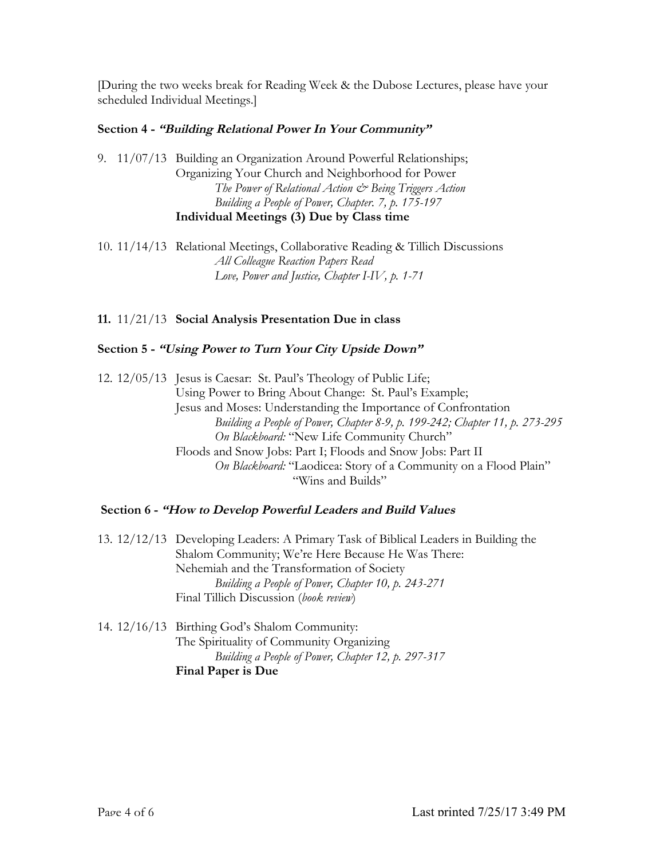[During the two weeks break for Reading Week & the Dubose Lectures, please have your scheduled Individual Meetings.]

#### **Section 4 - "Building Relational Power In Your Community"**

9. 11/07/13 Building an Organization Around Powerful Relationships; Organizing Your Church and Neighborhood for Power *The Power of Relational Action & Being Triggers Action Building a People of Power, Chapter. 7, p. 175-197* **Individual Meetings (3) Due by Class time**

10. 11/14/13 Relational Meetings, Collaborative Reading & Tillich Discussions *All Colleague Reaction Papers Read Love, Power and Justice, Chapter I-IV, p. 1-71*

### **11.** 11/21/13 **Social Analysis Presentation Due in class**

### **Section 5 - "Using Power to Turn Your City Upside Down"**

12. 12/05/13 Jesus is Caesar: St. Paul's Theology of Public Life; Using Power to Bring About Change: St. Paul's Example; Jesus and Moses: Understanding the Importance of Confrontation *Building a People of Power, Chapter 8-9, p. 199-242; Chapter 11, p. 273-295 On Blackboard:* "New Life Community Church" Floods and Snow Jobs: Part I; Floods and Snow Jobs: Part II *On Blackboard:* "Laodicea: Story of a Community on a Flood Plain" "Wins and Builds"

#### **Section 6 - "How to Develop Powerful Leaders and Build Values**

13. 12/12/13 Developing Leaders: A Primary Task of Biblical Leaders in Building the Shalom Community; We're Here Because He Was There: Nehemiah and the Transformation of Society *Building a People of Power, Chapter 10, p. 243-271* Final Tillich Discussion (*book review*)

14. 12/16/13 Birthing God's Shalom Community: The Spirituality of Community Organizing *Building a People of Power, Chapter 12, p. 297-317* **Final Paper is Due**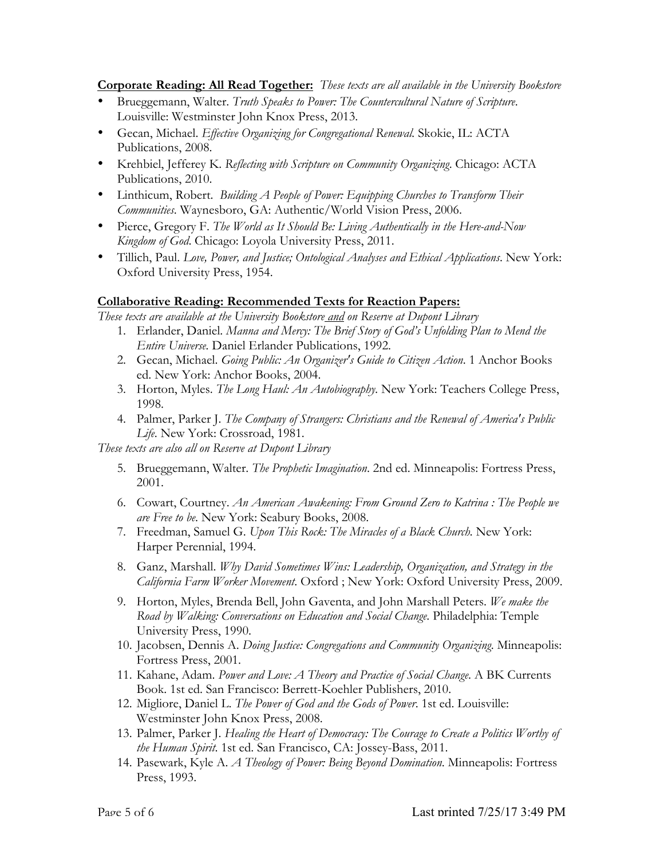**Corporate Reading: All Read Together:** *These texts are all available in the University Bookstore*

- Brueggemann, Walter. *Truth Speaks to Power: The Countercultural Nature of Scripture*. Louisville: Westminster John Knox Press, 2013.
- Gecan, Michael. *Effective Organizing for Congregational Renewal.* Skokie, IL: ACTA Publications, 2008.
- Krehbiel, Jefferey K. *Reflecting with Scripture on Community Organizing*. Chicago: ACTA Publications, 2010.
- Linthicum, Robert. *Building A People of Power: Equipping Churches to Transform Their Communities*. Waynesboro, GA: Authentic/World Vision Press, 2006.
- Pierce, Gregory F. *The World as It Should Be: Living Authentically in the Here-and-Now Kingdom of God*. Chicago: Loyola University Press, 2011.
- Tillich, Paul. *Love, Power, and Justice; Ontological Analyses and Ethical Applications*. New York: Oxford University Press, 1954.

# **Collaborative Reading: Recommended Texts for Reaction Papers:**

*These texts are available at the University Bookstore and on Reserve at Dupont Library*

- 1. Erlander, Daniel. *Manna and Mercy: The Brief Story of God's Unfolding Plan to Mend the Entire Universe.* Daniel Erlander Publications, 1992.
- 2. Gecan, Michael. *Going Public: An Organizer's Guide to Citizen Action*. 1 Anchor Books ed. New York: Anchor Books, 2004.
- 3. Horton, Myles. *The Long Haul: An Autobiography.* New York: Teachers College Press, 1998.
- 4. Palmer, Parker J. *The Company of Strangers: Christians and the Renewal of America's Public Life*. New York: Crossroad, 1981.

*These texts are also all on Reserve at Dupont Library*

- 5. Brueggemann, Walter. *The Prophetic Imagination*. 2nd ed. Minneapolis: Fortress Press, 2001.
- 6. Cowart, Courtney. *An American Awakening: From Ground Zero to Katrina : The People we are Free to be*. New York: Seabury Books, 2008.
- 7. Freedman, Samuel G. *Upon This Rock: The Miracles of a Black Church.* New York: Harper Perennial, 1994.
- 8. Ganz, Marshall. *Why David Sometimes Wins: Leadership, Organization, and Strategy in the California Farm Worker Movement*. Oxford ; New York: Oxford University Press, 2009.
- 9. Horton, Myles, Brenda Bell, John Gaventa, and John Marshall Peters. *We make the Road by Walking: Conversations on Education and Social Change*. Philadelphia: Temple University Press, 1990.
- 10. Jacobsen, Dennis A. *Doing Justice: Congregations and Community Organizing*. Minneapolis: Fortress Press, 2001.
- 11. Kahane, Adam. *Power and Love: A Theory and Practice of Social Change*. A BK Currents Book. 1st ed. San Francisco: Berrett-Koehler Publishers, 2010.
- 12. Migliore, Daniel L. *The Power of God and the Gods of Power*. 1st ed. Louisville: Westminster John Knox Press, 2008.
- 13. Palmer, Parker J. *Healing the Heart of Democracy: The Courage to Create a Politics Worthy of the Human Spirit*. 1st ed. San Francisco, CA: Jossey-Bass, 2011.
- 14. Pasewark, Kyle A. *A Theology of Power: Being Beyond Domination*. Minneapolis: Fortress Press, 1993.